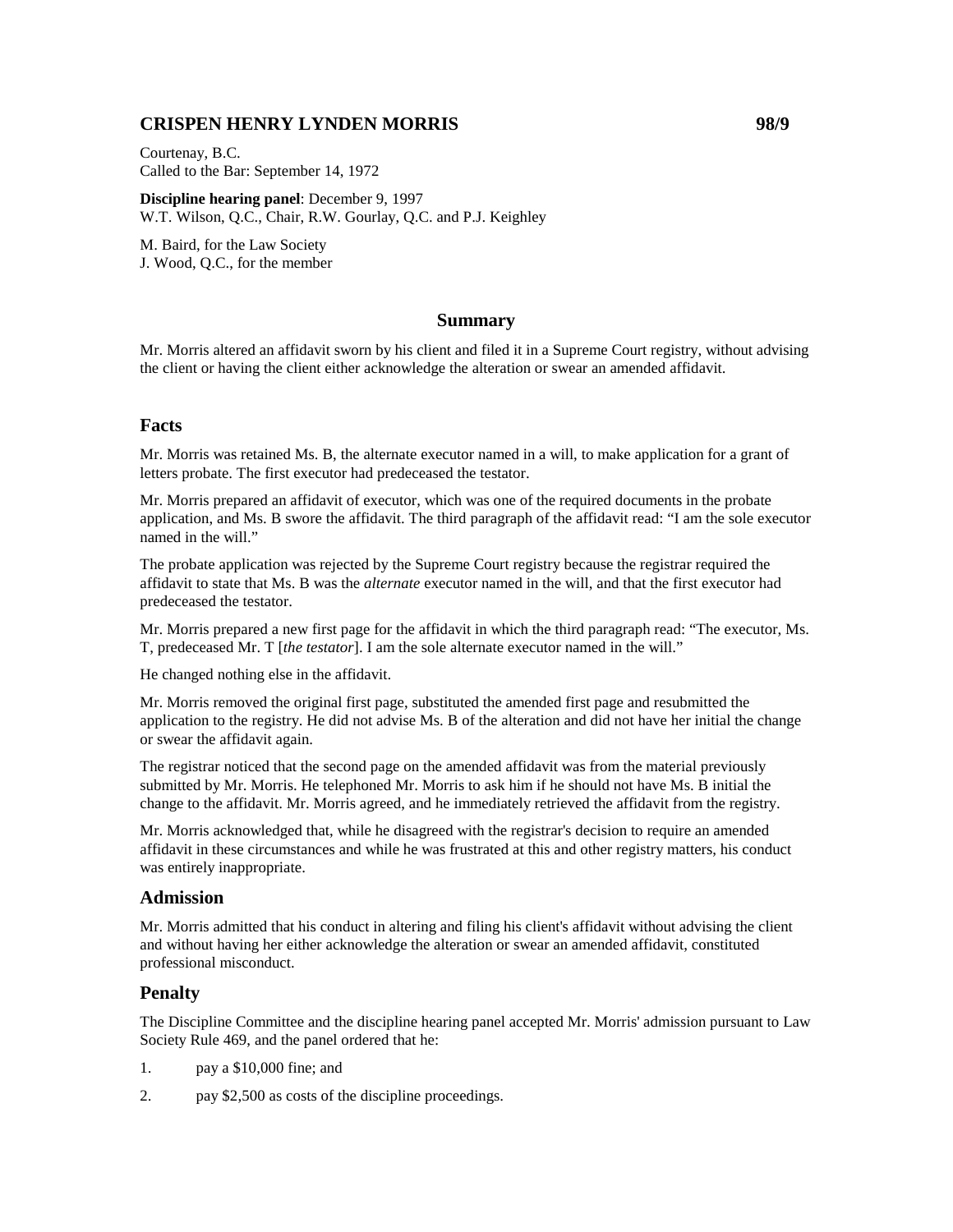# **CRISPEN HENRY LYNDEN MORRIS 98/9**

Courtenay, B.C. Called to the Bar: September 14, 1972

**Discipline hearing panel**: December 9, 1997 W.T. Wilson, Q.C., Chair, R.W. Gourlay, Q.C. and P.J. Keighley

M. Baird, for the Law Society J. Wood, Q.C., for the member

## **Summary**

Mr. Morris altered an affidavit sworn by his client and filed it in a Supreme Court registry, without advising the client or having the client either acknowledge the alteration or swear an amended affidavit.

## **Facts**

Mr. Morris was retained Ms. B, the alternate executor named in a will, to make application for a grant of letters probate. The first executor had predeceased the testator.

Mr. Morris prepared an affidavit of executor, which was one of the required documents in the probate application, and Ms. B swore the affidavit. The third paragraph of the affidavit read: "I am the sole executor named in the will."

The probate application was rejected by the Supreme Court registry because the registrar required the affidavit to state that Ms. B was the *alternate* executor named in the will, and that the first executor had predeceased the testator.

Mr. Morris prepared a new first page for the affidavit in which the third paragraph read: "The executor, Ms. T, predeceased Mr. T [*the testator*]. I am the sole alternate executor named in the will."

He changed nothing else in the affidavit.

Mr. Morris removed the original first page, substituted the amended first page and resubmitted the application to the registry. He did not advise Ms. B of the alteration and did not have her initial the change or swear the affidavit again.

The registrar noticed that the second page on the amended affidavit was from the material previously submitted by Mr. Morris. He telephoned Mr. Morris to ask him if he should not have Ms. B initial the change to the affidavit. Mr. Morris agreed, and he immediately retrieved the affidavit from the registry.

Mr. Morris acknowledged that, while he disagreed with the registrar's decision to require an amended affidavit in these circumstances and while he was frustrated at this and other registry matters, his conduct was entirely inappropriate.

## **Admission**

Mr. Morris admitted that his conduct in altering and filing his client's affidavit without advising the client and without having her either acknowledge the alteration or swear an amended affidavit, constituted professional misconduct.

## **Penalty**

The Discipline Committee and the discipline hearing panel accepted Mr. Morris' admission pursuant to Law Society Rule 469, and the panel ordered that he:

- 1. pay a \$10,000 fine; and
- 2. pay \$2,500 as costs of the discipline proceedings.